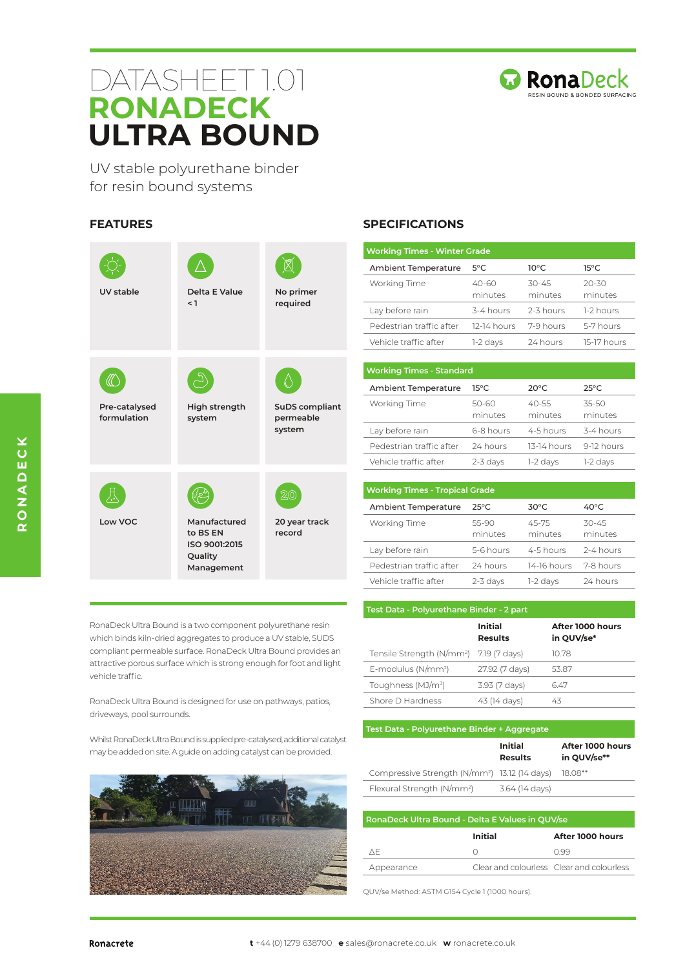# DATASHEET 1.01 **RONADECK ULTRA BOUND**

UV stable polyurethane binder for resin bound systems

## **FEATURES**



RonaDeck Ultra Bound is a two component polyurethane resin which binds kiln-dried aggregates to produce a UV stable, SUDS compliant permeable surface. RonaDeck Ultra Bound provides an attractive porous surface which is strong enough for foot and light vehicle traffic.

RonaDeck Ultra Bound is designed for use on pathways, patios, driveways, pool surrounds.

Whilst RonaDeck Ultra Bound is supplied pre-catalysed, additional catalyst may be added on site. A guide on adding catalyst can be provided.



## **SPECIFICATIONS**

| <b>Working Times - Winter Grade</b> |                  |                    |                  |
|-------------------------------------|------------------|--------------------|------------------|
| Ambient Temperature                 | $5^{\circ}$ C    | $10^{\circ}$ C     | $15^{\circ}$ C   |
| Working Time                        | 40-60<br>minutes | $30-45$<br>minutes | 20-30<br>minutes |
| Lay before rain                     | 3-4 hours        | 2-3 hours          | 1-2 hours        |
| Pedestrian traffic after            | 12-14 hours      | 7-9 hours          | 5-7 hours        |
| Vehicle traffic after               | 1-2 days         | 24 hours           | 15-17 hours      |

| <b>Working Times - Standard</b> |                  |                  |                  |
|---------------------------------|------------------|------------------|------------------|
| Ambient Temperature             | $15^{\circ}$ C   | $20^{\circ}$ C   | $25^{\circ}$ C   |
| Working Time                    | 50-60<br>minutes | 40-55<br>minutes | 35-50<br>minutes |
| Lay before rain                 | 6-8 hours        | 4-5 hours        | 3-4 hours        |
| Pedestrian traffic after        | 24 hours         | 13-14 hours      | 9-12 hours       |
| Vehicle traffic after           | 2-3 days         | 1-2 days         | $1-2$ days       |

| <b>Working Times - Tropical Grade</b> |                  |                      |                  |
|---------------------------------------|------------------|----------------------|------------------|
| <b>Ambient Temperature</b>            | $25^{\circ}$ C   | $30^{\circ}$ C       | $40^{\circ}$ C   |
| Working Time                          | 55-90<br>minutes | $45 - 75$<br>minutes | 30-45<br>minutes |
| Lay before rain                       | 5-6 hours        | 4-5 hours            | $2-4$ hours      |
| Pedestrian traffic after              | 24 hours         | 14-16 hours          | 7-8 hours        |
| Vehicle traffic after                 | $2-3$ days       | 1-2 days             | 24 hours         |

#### **Test Data - Polyurethane Binder - 2 part Initial Results After 1000 hours in QUV/se\***

| Tensile Strength (N/mm <sup>2</sup> ) 7.19 (7 days) |                | 10.78 |
|-----------------------------------------------------|----------------|-------|
| E-modulus $(N/mm2)$                                 | 27.92 (7 days) | 5387  |
| Toughness (MJ/m <sup>3</sup> )                      | 3.93 (7 days)  | 647   |
| Shore D Hardness                                    | 43 (14 days)   | 45    |

| Test Data - Polyurethane Binder + Aggregate               |                    |                                 |  |
|-----------------------------------------------------------|--------------------|---------------------------------|--|
|                                                           | Initial<br>Results | After 1000 hours<br>in QUV/se** |  |
| Compressive Strength (N/mm <sup>2</sup> ) 13.12 (14 days) |                    | 18.08**                         |  |
| Flexural Strength (N/mm <sup>2</sup> )                    | 3.64 (14 days)     |                                 |  |

| RonaDeck Ultra Bound - Delta E Values in QUV/se |                                           |                  |  |
|-------------------------------------------------|-------------------------------------------|------------------|--|
|                                                 | Initial                                   | After 1000 hours |  |
| ΛF                                              |                                           | ∩ 99             |  |
| Appearance                                      | Clear and colourless Clear and colourless |                  |  |
|                                                 |                                           |                  |  |

QUV/se Method: ASTM G154 Cycle 1 (1000 hours).